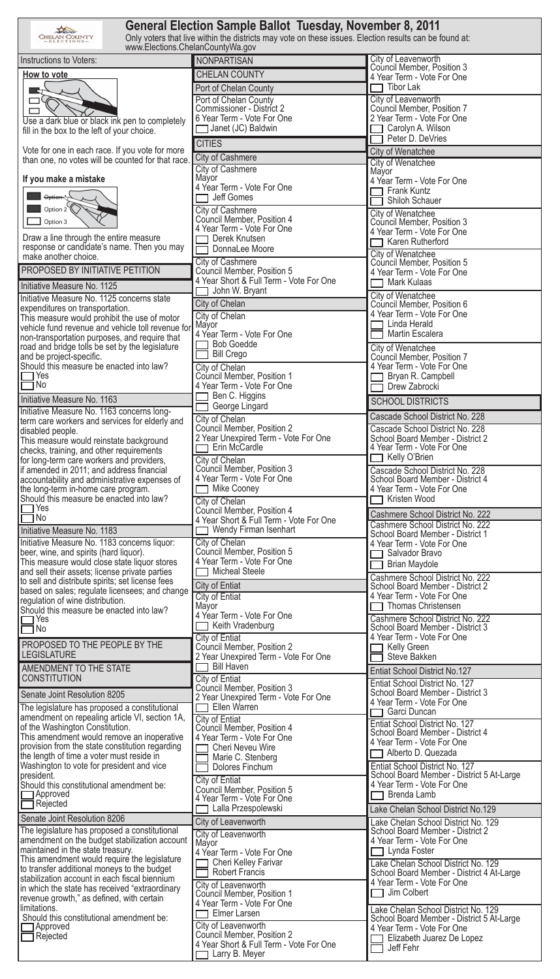| General Election Sample Ballot Tuesday, November 8, 2011<br>Only voters that live within the districts may vote on these issues. Election results can be found at:<br><b>CHELAN COUNTY</b><br>www.Elections.ChelanCountyWa.gov |                                                                    |                                                                             |  |  |  |
|--------------------------------------------------------------------------------------------------------------------------------------------------------------------------------------------------------------------------------|--------------------------------------------------------------------|-----------------------------------------------------------------------------|--|--|--|
| Instructions to Voters:                                                                                                                                                                                                        | NONPARTISAN                                                        | City of Leavenworth                                                         |  |  |  |
| How to vote                                                                                                                                                                                                                    | <b>CHELAN COUNTY</b>                                               | Council Member, Position 3<br>4 Year Term - Vote For One                    |  |  |  |
|                                                                                                                                                                                                                                | Port of Chelan County                                              | Tibor Lak                                                                   |  |  |  |
|                                                                                                                                                                                                                                | Port of Chelan County                                              | City of Leavenworth                                                         |  |  |  |
| □                                                                                                                                                                                                                              | Commissioner - District 2<br>6 Year Term - Vote For One            | Council Member, Position 7<br>2 Year Term - Vote For One                    |  |  |  |
| Use a dark blue or black ink pen to completely<br>fill in the box to the left of your choice.                                                                                                                                  | Janet (JC) Baldwin                                                 | Carolyn A. Wilson                                                           |  |  |  |
|                                                                                                                                                                                                                                | <b>CITIES</b>                                                      | Peter D. DeVries                                                            |  |  |  |
| Vote for one in each race. If you vote for more<br>than one, no votes will be counted for that race.                                                                                                                           | City of Cashmere                                                   | City of Wenatchee                                                           |  |  |  |
|                                                                                                                                                                                                                                | City of Cashmere                                                   | City of Wenatchee<br>Mayor                                                  |  |  |  |
| If you make a mistake                                                                                                                                                                                                          | Mayor<br>4 Year Term - Vote For One                                | 4 Year Term - Vote For One                                                  |  |  |  |
| Option-1                                                                                                                                                                                                                       | Jeff Gomes                                                         | Frank Kuntz<br>Shiloh Schauer                                               |  |  |  |
| Option $2\mathcal{K}$                                                                                                                                                                                                          | <b>City of Cashmere</b>                                            | City of Wenatchee                                                           |  |  |  |
| Option 3                                                                                                                                                                                                                       | Council Member, Position 4<br>4 Year Term - Vote For One           | Council Member, Position 3                                                  |  |  |  |
| Draw a line through the entire measure                                                                                                                                                                                         | Derek Knutsen                                                      | 4 Year Term - Vote For One<br>Karen Rutherford                              |  |  |  |
| response or candidate's name. Then you may<br>make another choice.                                                                                                                                                             | DonnaLee Moore                                                     | <b>City of Wenatchee</b>                                                    |  |  |  |
| PROPOSED BY INITIATIVE PETITION                                                                                                                                                                                                | City of Cashmere<br>Council Member, Position 5                     | Council Member, Position 5                                                  |  |  |  |
|                                                                                                                                                                                                                                | 4 Year Short & Full Term - Vote For One                            | 4 Year Term - Vote For One<br>Mark Kulaas                                   |  |  |  |
| Initiative Measure No. 1125<br>Initiative Measure No. 1125 concerns state                                                                                                                                                      | John W. Bryant                                                     | City of Wenatchee                                                           |  |  |  |
| expenditures on transportation.                                                                                                                                                                                                | City of Chelan                                                     | Council Member, Position 6<br>4 Year Term - Vote For One                    |  |  |  |
| This measure would prohibit the use of motor<br>vehicle fund revenue and vehicle toll revenue for                                                                                                                              | City of Chelan<br>Mayor                                            | Linda Herald                                                                |  |  |  |
| non-transportation purposes, and require that                                                                                                                                                                                  | 4 Year Term - Vote For One                                         | Martin Escalera                                                             |  |  |  |
| road and bridge tolls be set by the legislature                                                                                                                                                                                | <b>Bob Goedde</b><br><b>Bill Crego</b>                             | City of Wenatchee                                                           |  |  |  |
| and be project-specific.<br>Should this measure be enacted into law?                                                                                                                                                           | City of Chelan                                                     | Council Member, Position 7<br>4 Year Term - Vote For One                    |  |  |  |
| $\sqcap$ Yes                                                                                                                                                                                                                   | Council Member, Position 1                                         | Bryan R. Campbell                                                           |  |  |  |
| $\neg$ No                                                                                                                                                                                                                      | 4 Year Term - Vote For One<br>Ben C. Higgins                       | Drew Zabrocki                                                               |  |  |  |
| Initiative Measure No. 1163<br>Initiative Measure No. 1163 concerns long-                                                                                                                                                      | George Lingard                                                     | <b>SCHOOL DISTRICTS</b>                                                     |  |  |  |
| term care workers and services for elderly and                                                                                                                                                                                 | City of Chelan                                                     | Cascade School District No. 228                                             |  |  |  |
| disabled people.<br>This measure would reinstate background                                                                                                                                                                    | Council Member, Position 2<br>2 Year Unexpired Term - Vote For One | Cascade School District No. 228<br>School Board Member - District 2         |  |  |  |
| checks, training, and other requirements                                                                                                                                                                                       | Erin McCardle                                                      | 4 Year Term - Vote For One                                                  |  |  |  |
| for long-term care workers and providers,<br>if amended in 2011; and address financial                                                                                                                                         | City of Chelan<br>Council Member, Position 3                       | Kelly O'Brien<br>Cascade School District No. 228                            |  |  |  |
| accountability and administrative expenses of                                                                                                                                                                                  | 4 Year Term - Vote For One                                         | School Board Member - District 4                                            |  |  |  |
| the long-term in-home care program.<br>Should this measure be enacted into law?                                                                                                                                                | Mike Cooney                                                        | 4 Year Term - Vote For One<br>Kristen Wood                                  |  |  |  |
| $\sqsupset$ Yes                                                                                                                                                                                                                | City of Chelan<br>Council Member, Position 4                       | Cashmere School District No. 222                                            |  |  |  |
| $\Box$ No                                                                                                                                                                                                                      | 4 Year Short & Full Term - Vote For One<br>Wendy Firman Isenhart   | Cashmere School District No. 222                                            |  |  |  |
| Initiative Measure No. 1183<br>Initiative Measure No. 1183 concerns liquor:                                                                                                                                                    | City of Chelan                                                     | School Board Member - District 1<br>4 Year Term - Vote For One              |  |  |  |
| beer, wine, and spirits (hard liquor).                                                                                                                                                                                         | Council Member, Position 5                                         | Salvador Bravo                                                              |  |  |  |
| This measure would close state liquor stores<br>and sell their assets; license private parties                                                                                                                                 | 4 Year Term - Vote For One<br><b>Micheal Steele</b>                | <b>Brian Maydole</b>                                                        |  |  |  |
| to sell and distribute spirits; set license fees                                                                                                                                                                               | City of Entiat                                                     | Cashmere School District No. 222<br>School Board Member - District 2        |  |  |  |
| based on sales; regulate licensees; and change<br>regulation of wine distribution.                                                                                                                                             | City of Entiat                                                     | 4 Year Term - Vote For One                                                  |  |  |  |
| Should this measure be enacted into law?                                                                                                                                                                                       | Mayor<br>4 Year Term - Vote For One                                | Thomas Christensen                                                          |  |  |  |
| ⊣Yes<br>JNo                                                                                                                                                                                                                    | Keith Vradenburg                                                   | Cashmere School District No. 222<br>School Board Member - District 3        |  |  |  |
| PROPOSED TO THE PEOPLE BY THE                                                                                                                                                                                                  | City of Entiat                                                     | 4 Year Term - Vote For One                                                  |  |  |  |
| <b>LEGISLATURE</b>                                                                                                                                                                                                             | Council Member, Position 2<br>2 Year Unexpired Term - Vote For One | Kelly Green<br>Steve Bakken                                                 |  |  |  |
| AMENDMENT TO THE STATE                                                                                                                                                                                                         | <b>Bill Haven</b>                                                  | Entiat School District No.127                                               |  |  |  |
| <b>CONSTITUTION</b>                                                                                                                                                                                                            | <b>City of Entiat</b><br>Council Member, Position 3                | Entiat School District No. 127                                              |  |  |  |
| Senate Joint Resolution 8205                                                                                                                                                                                                   | 2 Year Unexpired Term - Vote For One                               | School Board Member - District 3<br>4 Year Term - Vote For One              |  |  |  |
| The legislature has proposed a constitutional<br>amendment on repealing article VI, section 1A,                                                                                                                                | Ellen Warren<br><b>City of Entiat</b>                              | Garci Duncan                                                                |  |  |  |
| of the Washington Constitution.                                                                                                                                                                                                | Council Member, Position 4                                         | Entiat School District No. 127<br>School Board Member - District 4          |  |  |  |
| This amendment would remove an inoperative<br>provision from the state constitution regarding                                                                                                                                  | 4 Year Term - Vote For One<br>Cheri Neveu Wire                     | 4 Year Term - Vote For One                                                  |  |  |  |
| the length of time a voter must reside in                                                                                                                                                                                      | Marie C. Stenberg                                                  | Alberto D. Quezada                                                          |  |  |  |
| Washington to vote for president and vice<br>president.                                                                                                                                                                        | Dolores Finchum                                                    | Entiat School District No. 127<br>School Board Member - District 5 At-Large |  |  |  |
| Should this constitutional amendment be:                                                                                                                                                                                       | <b>City of Entiat</b><br>Council Member, Position 5                | 4 Year Term - Vote For One                                                  |  |  |  |
| $\Box$ Approved<br>Rejected                                                                                                                                                                                                    | 4 Year Term - Vote For One                                         | Brenda Lamb                                                                 |  |  |  |
| Senate Joint Resolution 8206                                                                                                                                                                                                   | Lalla Przespolewski<br>City of Leavenworth                         | Lake Chelan School District No.129                                          |  |  |  |
| The legislature has proposed a constitutional                                                                                                                                                                                  | City of Leavenworth                                                | Lake Chelan School District No. 129<br>School Board Member - District 2     |  |  |  |
| amendment on the budget stabilization account<br>maintained in the state treasury.                                                                                                                                             | Mayor                                                              | 4 Year Term - Vote For One<br>Lynda Foster                                  |  |  |  |
| This amendment would require the legislature                                                                                                                                                                                   | 4 Year Term - Vote For One<br>Cheri Kelley Farivar                 | Lake Chelan School District No. 129                                         |  |  |  |
| to transfer additional moneys to the budget<br>stabilization account in each fiscal biennium                                                                                                                                   | <b>Robert Francis</b>                                              | School Board Member - District 4 At-Large                                   |  |  |  |
| in which the state has received "extraordinary                                                                                                                                                                                 | City of Leavenworth<br>Council Member, Position 1                  | 4 Year Term - Vote For One<br>Jim Colbert                                   |  |  |  |
| revenue growth," as defined, with certain<br>limitations.                                                                                                                                                                      | 4 Year Term - Vote For One                                         | Lake Chelan School District No. 129                                         |  |  |  |
| Should this constitutional amendment be:                                                                                                                                                                                       | Elmer Larsen                                                       | School Board Member - District 5 At-Large                                   |  |  |  |
| Approved<br>$\Box$ Rejected                                                                                                                                                                                                    | City of Leavenworth<br>Council Member, Position 2                  | 4 Year Term - Vote For One<br>Elizabeth Juarez De Lopez                     |  |  |  |
|                                                                                                                                                                                                                                | 4 Year Short & Full Term - Vote For One<br>$\Box$ Larry B. Meyer   | Jeff Fehr                                                                   |  |  |  |
|                                                                                                                                                                                                                                |                                                                    |                                                                             |  |  |  |